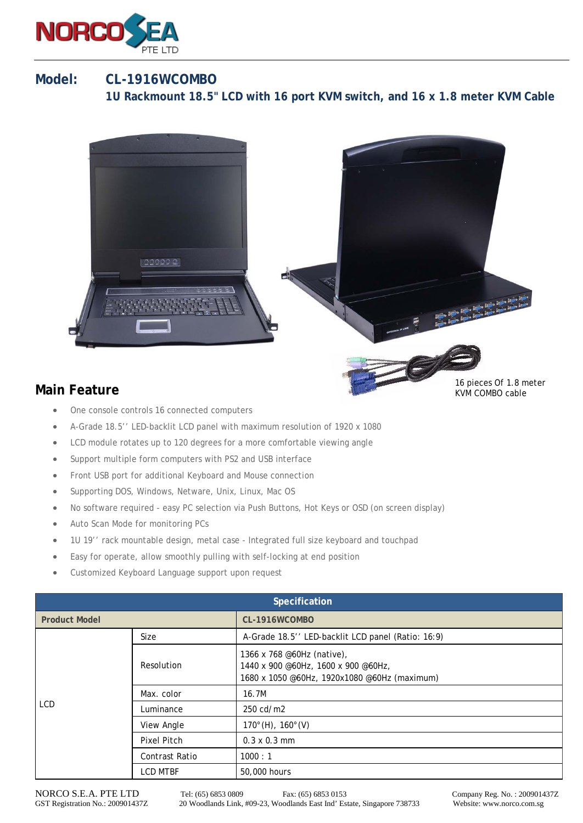

## **Model: CL-1916WCOMBO 1U Rackmount 18.5" LCD with 16 port KVM switch, and 16 x 1.8 meter KVM Cable**



## **Main Feature**

- One console controls 16 connected computers
- A-Grade 18.5'' LED-backlit LCD panel with maximum resolution of 1920 x 1080
- LCD module rotates up to 120 degrees for a more comfortable viewing angle
- Support multiple form computers with PS2 and USB interface
- Front USB port for additional Keyboard and Mouse connection
- Supporting DOS, Windows, Netware, Unix, Linux, Mac OS
- No software required easy PC selection via Push Buttons, Hot Keys or OSD (on screen display)
- Auto Scan Mode for monitoring PCs
- 1U 19'' rack mountable design, metal case Integrated full size keyboard and touchpad
- Easy for operate, allow smoothly pulling with self-locking at end position
- Customized Keyboard Language support upon request

| Specification        |                    |                                                                                                                   |  |  |
|----------------------|--------------------|-------------------------------------------------------------------------------------------------------------------|--|--|
| <b>Product Model</b> |                    | CL-1916WCOMBO                                                                                                     |  |  |
| <b>LCD</b>           | Size               | A-Grade 18.5" LED-backlit LCD panel (Ratio: 16:9)                                                                 |  |  |
|                      | Resolution         | 1366 x 768 @60Hz (native),<br>1440 x 900 @60Hz, 1600 x 900 @60Hz,<br>1680 x 1050 @60Hz, 1920x1080 @60Hz (maximum) |  |  |
|                      | Max. color         | 16.7M                                                                                                             |  |  |
|                      | Luminance          | 250 cd/m2                                                                                                         |  |  |
|                      | View Angle         | $170^{\circ}$ (H), $160^{\circ}$ (V)                                                                              |  |  |
|                      | <b>Pixel Pitch</b> | $0.3 \times 0.3$ mm                                                                                               |  |  |
|                      | Contrast Ratio     | 1000 : 1                                                                                                          |  |  |
|                      | <b>LCD MTBF</b>    | 50,000 hours                                                                                                      |  |  |

KVM COMBO cable